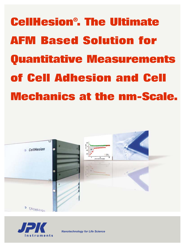**CellHesion® . The Ultimate AFM Based Solution for Quantitative Measurements of Cell Adhesion and Cell Mechanics at the nm-Scale.**





*Nanotechnology for Life Science*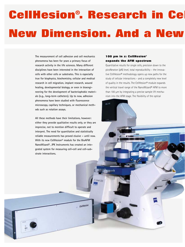# **CellHesion® . Research in Cel New Dimension. And a New**

HAL 100

**The measurement of cell adhesion and cell mechanics phenomena has been for years a primary focus of research activity in the life sciences. Many different disciplines have been interested in the interaction of cells with other cells or substrates. This is especially true for biophysics, biochemistry, cellular and medical research in cell migration, implant research, wound healing, developmental biology, or even in bioengineering for the development of bacteriophobic materials (e.g., long-term catheters). Up to now, adhesion phenomena have been studied with fluorescence microscopy, capillary techniques, or mechanical methods such as rotation assays.** 

**All these methods have their limitations, however: either they provide qualitative results only, or they are imprecise, not to mention difficult to operate and interpret. The need for quantitative and statistically reliable measurements has proved elusive – until now. With its new CellHesion® module for the BioAFM NanoWizard®, JPK Instruments has created an integrated system for measuring cell-cell and cell-substrate interactions.**

#### **100 µm in z: CellHesion® expands the AFM spectrum**

Quantitative results for single cells, precision down to the picoNewton (pN) level, total reproducibility – the innovative CellHesion® methodology opens up new paths for the study of cellular interactions – and a completely new level of quality in the results. The CellHesion® module expands the vertical travel range of the NanoWizard® AFM to more than 100 µm by integrating a precise sample lift mechanism into the AFM stage. The flexibility of the optical

 $C$ ellHesion

lovert 200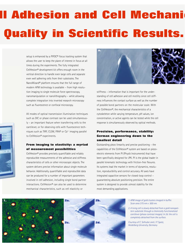# **ll Adhesion and Cell Mechanic Quality in Scientific Results.**

setup is enhanced by a PIFOC® focus tracking system that allows the user to keep the plane of interest in focus at all times during the experiments. The fully integrated CellHesion® development kit offers enough room in the vertical direction to handle even large cells and separate even well adhering cells from their substrates. The NanoWizard® platform ensures that the full range of modern AFM technology is available – from high resolution imaging to single molecule force spectroscopy, nanomanipulation or nanolithography – while allowing complete integration into inverted research microscopy such as fluorescence or confocal microscopy.

All modes of optical transmission illumination techniques such as DIC or phase contrast can be used simultaneously – an important feature when transferring cells to the cantilever, or for observing cells with fluorescence techniques such as TIRF, CLSM, FRAP or Ca<sup>2+</sup> imaging parallel to CellHesion® experiments.

#### **From imaging to elasticity: a myriad of measurement possibilities**

CellHesion® provides precisely quantifiable and reliably reproducible measurements of the adhesive and stiffness characteristics of cells or other microscopic objects. The system delivers precise information about single molecule behavior. Additionally, quantifiable and reproducible data can be produced for a number of important parameters involved in cell adhesion, including single bond partner interactions. CellHesion® can also be used to determine mechanical characteristics, such as cell elasticity or



stiffness – information that is important for the understanding of cell adhesion and cell motility since cell stiffness influences the contact surface as well as the number of possible bond partners on the molecular scale. With the CellHesion®, the mechanical characteristics of a cytoskeleton while varying temperature, pH values, ion concentration, or active agents can be tested while the cell response is simultaneously observed by optical methods.

### **Precision, performance, stability: German engineering down to the smallest detail**

Outstanding piezo linearity and precise positioning – the capabilities of the CellHesion® system are based on piezoelectric elements from PI (Physik Instrumente) that have been specifically designed for JPK. PI is the global leader in parallel kinematic technology with friction-free flexures. Its systems lead the market in terms of dynamics, resolution, reproducibility and control accuracy. All axes have integrated capacitive sensors for closed-loop control – guaranteeing absolute positioning precision. The entire system is designed to provide utmost stability for the most demanding applications.

- **1. 2a. 2b. 2c. 2d.**
	- *1. AFM image of gold clusters imaged in buffer. Scan area 375 nm x 500 nm.*
	- *2. A living cell is slowly detached from a gold nanopattern substrate through a chemically functionalized cantilever (phase contrast images). In 2d. the cell is completely detached from the surface.*

*Courtesy of C. Selhuber and J. P. Spatz, Heidelberg University, Germany*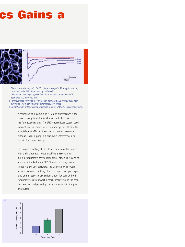# **cs Gains a**



- *a. Phase contrast image of a SAOS cell (expressing the A2 integrin subunit) attached to the AFM force sensor (cantilever).*
- *b. AFM image of collagen type I micro-fibrils on glass, imaged in buffer. Scan area 600 nm x 960 nm.*
- *c. Force distance curves of the interaction between SAOS cells and collagen exhibiting 67 nm periodicity at different contact times.*
- *d. Quantification of the maximal unbinding force for SAOS-A2 collagen binding.*

A critical point in combining AFM and fluorescence is the cross coupling from the AFM beam deflection laser with the fluorescence signal. The JPK infrared laser system used for cantilever deflection detection and special filters in the NanoWizard® AFM head, ensure not only fluorescence without cross coupling, but also avoid interference artifacts in force spectroscopy.

The unique coupling of the lift mechanism of the sample with a simultaneous focus tracking is essential for pulling experiments over a large travel range. The plane of interest is tracked via a PIFOC® objective stage controlled via the JPK software. The CellHesion® software includes advanced settings for force spectroscopy, mapping and an easy-to-use scripting tool for user defined experiments. With powerful batch processing of the data, the user can analyse and quantify datasets with the push of a button.

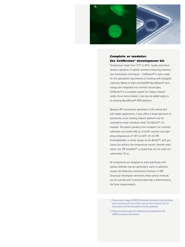

### **Complete or modular: the CellHesion® development kit**

Temperature range from 15°C to 60°C, liquids, and simultaneous operation of optical contrast-enhancing transmission illumination techniques – CellHesion® is tailor-made for the specialized requirements of working with biological materials. Based on high-end BioAFM NanoWizard® technology and integrated into inverted microscopes, CellHesion® is a complete system for todays research needs. As an extra module, it can also be added easily to an existing NanoWizard® AFM platform.

Because JPK Instruments specializes in life science and soft matter applications, it also offers a broad spectrum of accessories, so an existing research platform can be extended to meet individual needs. The BioCell™, for example. This patent pending mini-incubator for coverslip substrates can handle 400 µL of buffer solution and operating temperatures of 15°C to 60°C. Or the JPK CoverslipHolder: a similar design as the BioCell™, with perfusion but without the temperature control. Another alternative: the JPK SmallCell™, a closed fluid cell for small volumes below 70 µL.

All components are designed to work seamlessly with optical methods that are particularly useful in adhesion studies like Reflection Interference Contrast or TIRF. Structural information derived by these optical methods can be overlaid with functional data that is determined by the force measurements.

- *1. Fluorescence image of REF52 fibroblast attached to the cantilever and in contact with the surface next to the cantilever cell is a fluorescent cell that has adhered to the substrate.*
- *2. Phase contrast image of a melanoma cell attached to the AFM force sensor (cantilever).*